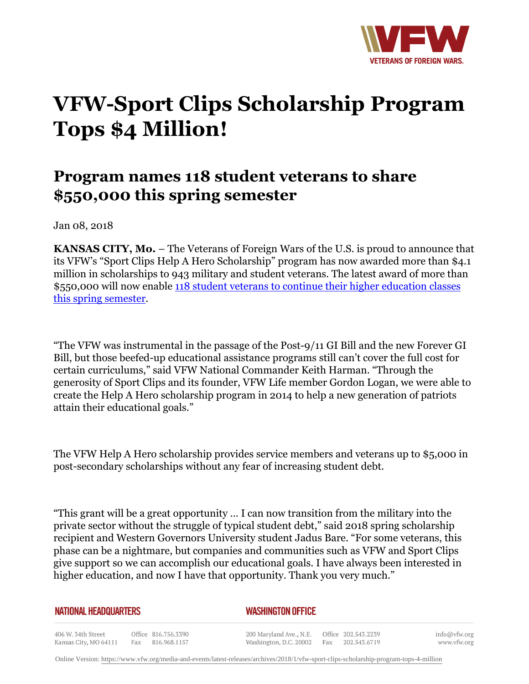

## **VFW-Sport Clips Scholarship Program Tops \$4 Million!**

## **Program names 118 student veterans to share \$550,000 this spring semester**

Jan 08, 2018

**KANSAS CITY, Mo.** – The Veterans of Foreign Wars of the U.S. is proud to announce that its VFW's "Sport Clips Help A Hero Scholarship" program has now awarded more than \$4.1 million in scholarships to 943 military and student veterans. The latest award of more than \$550,000 will now enable [118 student veterans to continue their higher education classes](http://vfworg-cdn.azureedge.net/-/media/VFWSite/Files/Media-and-Events/Articles/2018/2018SpringHAHScholarshipRecipients.pdf?v=1&d=20180103T204340Z&la=en) [this spring semester.](http://vfworg-cdn.azureedge.net/-/media/VFWSite/Files/Media-and-Events/Articles/2018/2018SpringHAHScholarshipRecipients.pdf?v=1&d=20180103T204340Z&la=en)

"The VFW was instrumental in the passage of the Post-9/11 GI Bill and the new Forever GI Bill, but those beefed-up educational assistance programs still can't cover the full cost for certain curriculums," said VFW National Commander Keith Harman. "Through the generosity of Sport Clips and its founder, VFW Life member Gordon Logan, we were able to create the Help A Hero scholarship program in 2014 to help a new generation of patriots attain their educational goals."

The VFW Help A Hero scholarship provides service members and veterans up to \$5,000 in post-secondary scholarships without any fear of increasing student debt.

"This grant will be a great opportunity … I can now transition from the military into the private sector without the struggle of typical student debt," said 2018 spring scholarship recipient and Western Governors University student Jadus Bare. "For some veterans, this phase can be a nightmare, but companies and communities such as VFW and Sport Clips give support so we can accomplish our educational goals. I have always been interested in higher education, and now I have that opportunity. Thank you very much."

| <b>NATIONAL HEADQUARTERS</b> |  |
|------------------------------|--|
|------------------------------|--|

*WASHINGTON OFFICE* 

406 W. 34th Street Office 816.756.3390 Fax 816.968.1157 Kansas City, MO 64111

200 Maryland Ave., N.E. Washington, D.C. 20002

Office 202.543.2239 Fax 202.543.6719

info@vfw.org www.vfw.org

Online Version:<https://www.vfw.org/media-and-events/latest-releases/archives/2018/1/vfw-sport-clips-scholarship-program-tops-4-million>